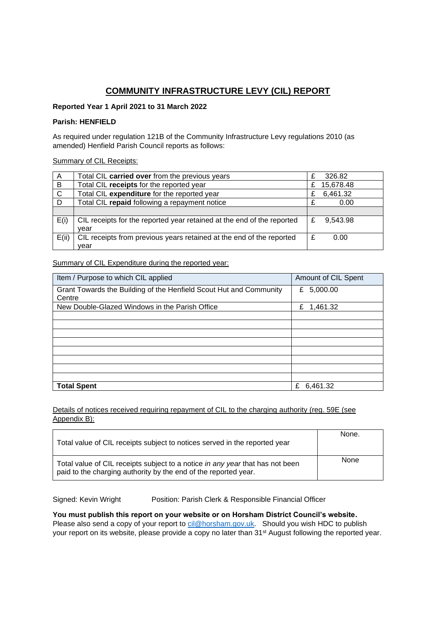# **COMMUNITY INFRASTRUCTURE LEVY (CIL) REPORT**

## **Reported Year 1 April 2021 to 31 March 2022**

## **Parish: HENFIELD**

As required under regulation 121B of the Community Infrastructure Levy regulations 2010 (as amended) Henfield Parish Council reports as follows:

### Summary of CIL Receipts:

| A            | Total CIL carried over from the previous years                         | £ | 326.82    |
|--------------|------------------------------------------------------------------------|---|-----------|
| B            | Total CIL receipts for the reported year                               | £ | 15,678.48 |
| $\mathsf{C}$ | Total CIL expenditure for the reported year                            | £ | 6,461.32  |
| D            | Total CIL repaid following a repayment notice                          |   | 0.00      |
|              |                                                                        |   |           |
| E(i)         | CIL receipts for the reported year retained at the end of the reported | £ | 9,543.98  |
|              | vear                                                                   |   |           |
| E(ii)        | CIL receipts from previous years retained at the end of the reported   | £ | 0.00      |
|              | vear                                                                   |   |           |

## Summary of CIL Expenditure during the reported year:

| Item / Purpose to which CIL applied                                          | Amount of CIL Spent |
|------------------------------------------------------------------------------|---------------------|
| Grant Towards the Building of the Henfield Scout Hut and Community<br>Centre | 5,000.00<br>£       |
| New Double-Glazed Windows in the Parish Office                               | 1,461.32<br>£       |
|                                                                              |                     |
|                                                                              |                     |
|                                                                              |                     |
|                                                                              |                     |
|                                                                              |                     |
|                                                                              |                     |
|                                                                              |                     |
|                                                                              |                     |
| <b>Total Spent</b>                                                           | £<br>6,461.32       |

Details of notices received requiring repayment of CIL to the charging authority (reg. 59E (see Appendix B):

| Total value of CIL receipts subject to notices served in the reported year                                                                       | None. |
|--------------------------------------------------------------------------------------------------------------------------------------------------|-------|
| Total value of CIL receipts subject to a notice in any year that has not been<br>paid to the charging authority by the end of the reported year. | None  |

Signed: Kevin Wright Position: Parish Clerk & Responsible Financial Officer

**You must publish this report on your website or on Horsham District Council's website.**  Please also send a copy of your report to [cil@horsham.gov.uk.](mailto:cil@horsham.gov.uk) Should you wish HDC to publish your report on its website, please provide a copy no later than 31<sup>st</sup> August following the reported year.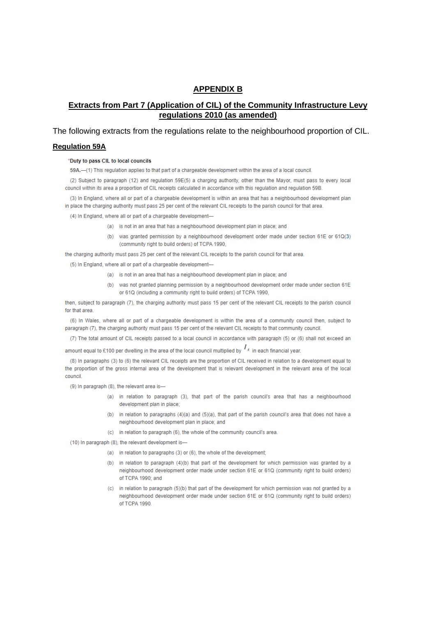## **APPENDIX B**

## **Extracts from Part 7 (Application of CIL) of the Community Infrastructure Levy** regulations 2010 (as amended)

The following extracts from the regulations relate to the neighbourhood proportion of CIL.

### **Requlation 59A**

#### "Duty to pass CIL to local councils

59A.-(1) This regulation applies to that part of a chargeable development within the area of a local council.

(2) Subject to paragraph (12) and regulation 59E(5) a charging authority, other than the Mayor, must pass to every local council within its area a proportion of CIL receipts calculated in accordance with this regulation and regulation 59B

(3) In England, where all or part of a chargeable development is within an area that has a neighbourhood development plan in place the charging authority must pass 25 per cent of the relevant CIL receipts to the parish council for that area

(4) In England, where all or part of a chargeable development-

- (a) is not in an area that has a neighbourhood development plan in place; and
- (b) was granted permission by a neighbourhood development order made under section 61E or 61Q(3) (community right to build orders) of TCPA 1990,

the charging authority must pass 25 per cent of the relevant CIL receipts to the parish council for that area.

(5) In England, where all or part of a chargeable development-

- (a) is not in an area that has a neighbourhood development plan in place; and
- (b) was not granted planning permission by a neighbourhood development order made under section 61E or 61Q (including a community right to build orders) of TCPA 1990,

then, subject to paragraph (7), the charging authority must pass 15 per cent of the relevant CIL receipts to the parish council for that area.

(6) In Wales, where all or part of a chargeable development is within the area of a community council then, subject to paragraph (7), the charging authority must pass 15 per cent of the relevant CIL receipts to that community council.

(7) The total amount of CIL receipts passed to a local council in accordance with paragraph (5) or (6) shall not exceed an

amount equal to £100 per dwelling in the area of the local council multiplied by  $I_A$  in each financial vear.

(8) In paragraphs (3) to (6) the relevant CIL receipts are the proportion of CIL received in relation to a development equal to the proportion of the gross internal area of the development that is relevant development in the relevant area of the local council.

(9) In paragraph (8), the relevant area is-

- (a) in relation to paragraph (3), that part of the parish council's area that has a neighbourhood development plan in place:
- (b) in relation to paragraphs  $(4)(a)$  and  $(5)(a)$ , that part of the parish council's area that does not have a neighbourhood development plan in place; and
- (c) in relation to paragraph (6), the whole of the community council's area.

(10) In paragraph (8), the relevant development is-

- (a) in relation to paragraphs (3) or (6), the whole of the development;
- (b) in relation to paragraph (4)(b) that part of the development for which permission was granted by a neighbourhood development order made under section 61E or 61Q (community right to build orders) of TCPA 1990; and
- (c) in relation to paragraph (5)(b) that part of the development for which permission was not granted by a neighbourhood development order made under section 61E or 61Q (community right to build orders) of TCPA 1990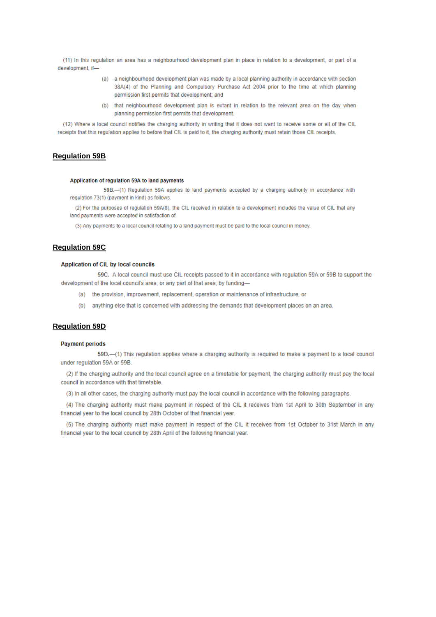(11) In this requlation an area has a neighbourhood development plan in place in relation to a development, or part of a development, if-

- (a) a neighbourhood development plan was made by a local planning authority in accordance with section 38A(4) of the Planning and Compulsory Purchase Act 2004 prior to the time at which planning permission first permits that development; and
- (b) that neighbourhood development plan is extant in relation to the relevant area on the day when planning permission first permits that development.

(12) Where a local council notifies the charging authority in writing that it does not want to receive some or all of the CIL receipts that this regulation applies to before that CIL is paid to it, the charging authority must retain those CIL receipts.

## **Regulation 59B**

#### Application of regulation 59A to land payments

59B.-(1) Regulation 59A applies to land payments accepted by a charging authority in accordance with regulation 73(1) (payment in kind) as follows.

(2) For the purposes of regulation 59A(8), the CIL received in relation to a development includes the value of CIL that any land payments were accepted in satisfaction of.

(3) Any payments to a local council relating to a land payment must be paid to the local council in money.

## **Regulation 59C**

#### Application of CIL by local councils

59C. A local council must use CIL receipts passed to it in accordance with regulation 59A or 59B to support the development of the local council's area, or any part of that area, by funding-

- (a) the provision, improvement, replacement, operation or maintenance of infrastructure; or
- (b) anything else that is concerned with addressing the demands that development places on an area.

### **Requlation 59D**

#### **Payment periods**

59D.-(1) This requlation applies where a charging authority is required to make a payment to a local council under regulation 59A or 59B.

(2) If the charging authority and the local council agree on a timetable for payment, the charging authority must pay the local council in accordance with that timetable.

(3) In all other cases, the charging authority must pay the local council in accordance with the following paragraphs.

(4) The charging authority must make payment in respect of the CIL it receives from 1st April to 30th September in any financial year to the local council by 28th October of that financial year.

(5) The charging authority must make payment in respect of the CIL it receives from 1st October to 31st March in any financial year to the local council by 28th April of the following financial year.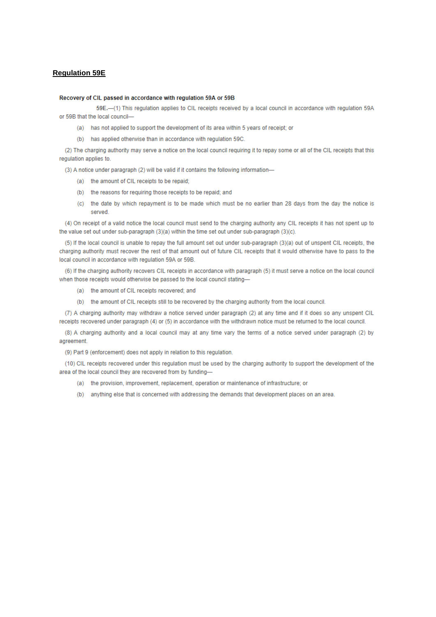## **Regulation 59E**

#### Recovery of CIL passed in accordance with regulation 59A or 59B

59E.-(1) This regulation applies to CIL receipts received by a local council in accordance with regulation 59A or 59B that the local council-

- (a) has not applied to support the development of its area within 5 years of receipt; or
- (b) has applied otherwise than in accordance with regulation 59C.

(2) The charging authority may serve a notice on the local council requiring it to repay some or all of the CIL receipts that this regulation applies to.

(3) A notice under paragraph (2) will be valid if it contains the following information-

- (a) the amount of CIL receipts to be repaid;
- (b) the reasons for requiring those receipts to be repaid; and
- (c) the date by which repayment is to be made which must be no earlier than 28 days from the day the notice is served

(4) On receipt of a valid notice the local council must send to the charging authority any CIL receipts it has not spent up to the value set out under sub-paragraph (3)(a) within the time set out under sub-paragraph (3)(c).

(5) If the local council is unable to repay the full amount set out under sub-paragraph (3)(a) out of unspent CIL receipts, the charging authority must recover the rest of that amount out of future CIL receipts that it would otherwise have to pass to the local council in accordance with regulation 59A or 59B.

(6) If the charging authority recovers CIL receipts in accordance with paragraph (5) it must serve a notice on the local council when those receipts would otherwise be passed to the local council stating-

- (a) the amount of CIL receipts recovered; and
- (b) the amount of CIL receipts still to be recovered by the charging authority from the local council.

(7) A charging authority may withdraw a notice served under paragraph (2) at any time and if it does so any unspent CIL receipts recovered under paragraph (4) or (5) in accordance with the withdrawn notice must be returned to the local council.

(8) A charging authority and a local council may at any time vary the terms of a notice served under paragraph (2) by agreement.

(9) Part 9 (enforcement) does not apply in relation to this regulation.

(10) CIL receipts recovered under this regulation must be used by the charging authority to support the development of the area of the local council they are recovered from by funding-

- (a) the provision, improvement, replacement, operation or maintenance of infrastructure; or
- (b) anything else that is concerned with addressing the demands that development places on an area.